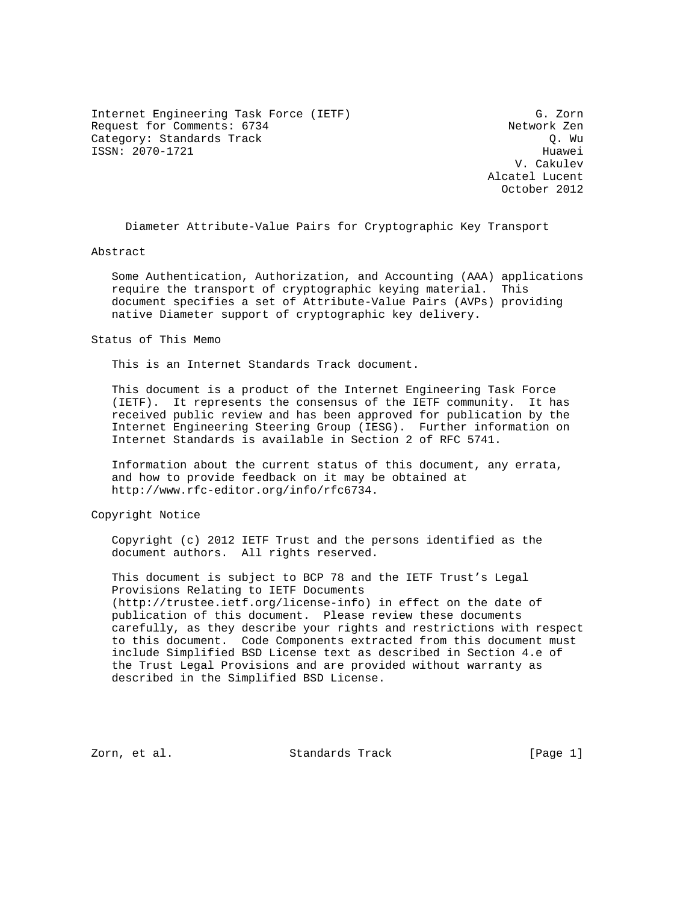Internet Engineering Task Force (IETF) G. Zorn Request for Comments: 6734 Network Zen Category: Standards Track Category: Standards Track ISSN: 2070-1721 Huawei

 V. Cakulev Alcatel Lucent October 2012

Diameter Attribute-Value Pairs for Cryptographic Key Transport

Abstract

 Some Authentication, Authorization, and Accounting (AAA) applications require the transport of cryptographic keying material. This document specifies a set of Attribute-Value Pairs (AVPs) providing native Diameter support of cryptographic key delivery.

Status of This Memo

This is an Internet Standards Track document.

 This document is a product of the Internet Engineering Task Force (IETF). It represents the consensus of the IETF community. It has received public review and has been approved for publication by the Internet Engineering Steering Group (IESG). Further information on Internet Standards is available in Section 2 of RFC 5741.

 Information about the current status of this document, any errata, and how to provide feedback on it may be obtained at http://www.rfc-editor.org/info/rfc6734.

Copyright Notice

 Copyright (c) 2012 IETF Trust and the persons identified as the document authors. All rights reserved.

 This document is subject to BCP 78 and the IETF Trust's Legal Provisions Relating to IETF Documents (http://trustee.ietf.org/license-info) in effect on the date of publication of this document. Please review these documents carefully, as they describe your rights and restrictions with respect to this document. Code Components extracted from this document must include Simplified BSD License text as described in Section 4.e of the Trust Legal Provisions and are provided without warranty as described in the Simplified BSD License.

Zorn, et al. Standards Track [Page 1]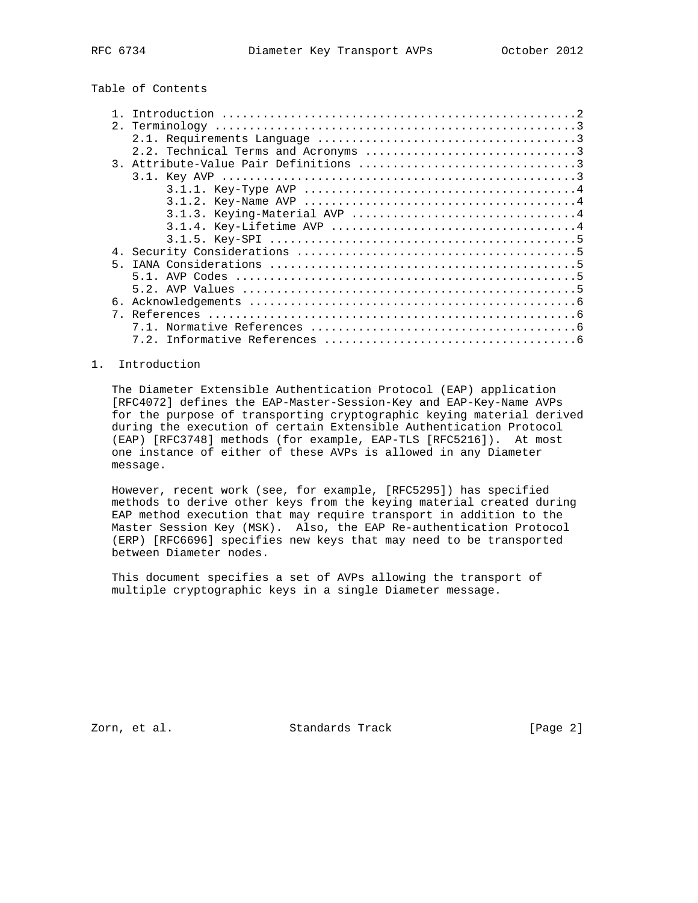Table of Contents

|    | 3.1.3. Keying-Material AVP 4 |
|----|------------------------------|
|    |                              |
|    |                              |
| 4. |                              |
| 5  |                              |
|    |                              |
|    |                              |
| б. |                              |
| 7  |                              |
|    |                              |
|    |                              |

## 1. Introduction

 The Diameter Extensible Authentication Protocol (EAP) application [RFC4072] defines the EAP-Master-Session-Key and EAP-Key-Name AVPs for the purpose of transporting cryptographic keying material derived during the execution of certain Extensible Authentication Protocol (EAP) [RFC3748] methods (for example, EAP-TLS [RFC5216]). At most one instance of either of these AVPs is allowed in any Diameter message.

 However, recent work (see, for example, [RFC5295]) has specified methods to derive other keys from the keying material created during EAP method execution that may require transport in addition to the Master Session Key (MSK). Also, the EAP Re-authentication Protocol (ERP) [RFC6696] specifies new keys that may need to be transported between Diameter nodes.

 This document specifies a set of AVPs allowing the transport of multiple cryptographic keys in a single Diameter message.

Zorn, et al. Standards Track [Page 2]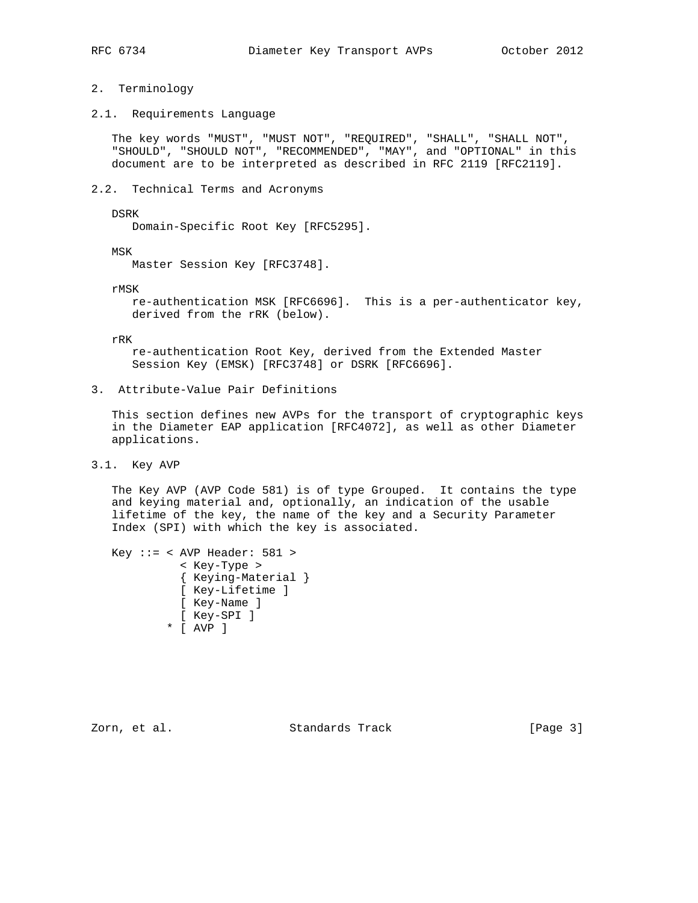## 2. Terminology

2.1. Requirements Language

 The key words "MUST", "MUST NOT", "REQUIRED", "SHALL", "SHALL NOT", "SHOULD", "SHOULD NOT", "RECOMMENDED", "MAY", and "OPTIONAL" in this document are to be interpreted as described in RFC 2119 [RFC2119].

2.2. Technical Terms and Acronyms

DSRK

Domain-Specific Root Key [RFC5295].

MSK

Master Session Key [RFC3748].

rMSK

 re-authentication MSK [RFC6696]. This is a per-authenticator key, derived from the rRK (below).

rRK

 re-authentication Root Key, derived from the Extended Master Session Key (EMSK) [RFC3748] or DSRK [RFC6696].

3. Attribute-Value Pair Definitions

 This section defines new AVPs for the transport of cryptographic keys in the Diameter EAP application [RFC4072], as well as other Diameter applications.

3.1. Key AVP

 The Key AVP (AVP Code 581) is of type Grouped. It contains the type and keying material and, optionally, an indication of the usable lifetime of the key, the name of the key and a Security Parameter Index (SPI) with which the key is associated.

```
 Key ::= < AVP Header: 581 >
   < Key-Type >
   { Keying-Material }
   [ Key-Lifetime ]
  [ Key-Name ]
  [ Key-SPI ]
* [ AVP ]
```
Zorn, et al. Standards Track [Page 3]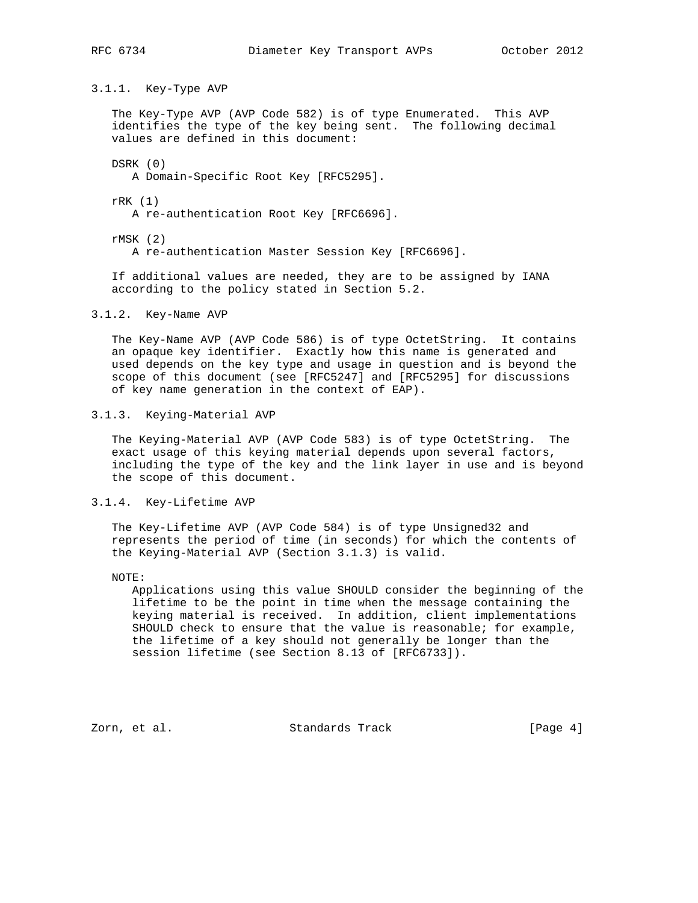3.1.1. Key-Type AVP

 The Key-Type AVP (AVP Code 582) is of type Enumerated. This AVP identifies the type of the key being sent. The following decimal values are defined in this document:

DSRK (0)

A Domain-Specific Root Key [RFC5295].

rRK (1)

A re-authentication Root Key [RFC6696].

 rMSK (2) A re-authentication Master Session Key [RFC6696].

 If additional values are needed, they are to be assigned by IANA according to the policy stated in Section 5.2.

3.1.2. Key-Name AVP

 The Key-Name AVP (AVP Code 586) is of type OctetString. It contains an opaque key identifier. Exactly how this name is generated and used depends on the key type and usage in question and is beyond the scope of this document (see [RFC5247] and [RFC5295] for discussions of key name generation in the context of EAP).

3.1.3. Keying-Material AVP

 The Keying-Material AVP (AVP Code 583) is of type OctetString. The exact usage of this keying material depends upon several factors, including the type of the key and the link layer in use and is beyond the scope of this document.

3.1.4. Key-Lifetime AVP

 The Key-Lifetime AVP (AVP Code 584) is of type Unsigned32 and represents the period of time (in seconds) for which the contents of the Keying-Material AVP (Section 3.1.3) is valid.

NOTE:

 Applications using this value SHOULD consider the beginning of the lifetime to be the point in time when the message containing the keying material is received. In addition, client implementations SHOULD check to ensure that the value is reasonable; for example, the lifetime of a key should not generally be longer than the session lifetime (see Section 8.13 of [RFC6733]).

Zorn, et al. Standards Track [Page 4]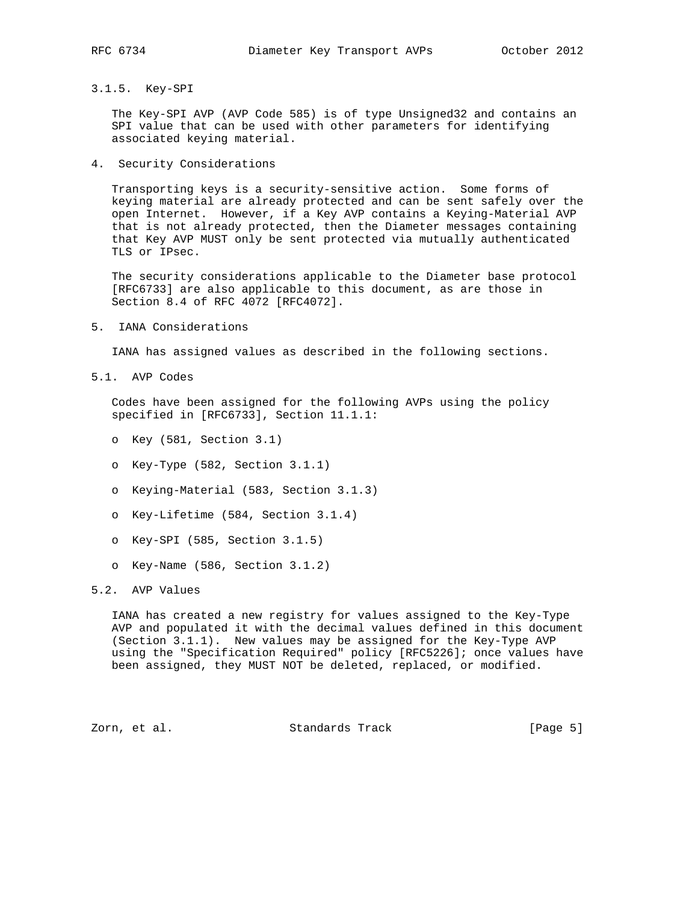## 3.1.5. Key-SPI

 The Key-SPI AVP (AVP Code 585) is of type Unsigned32 and contains an SPI value that can be used with other parameters for identifying associated keying material.

4. Security Considerations

 Transporting keys is a security-sensitive action. Some forms of keying material are already protected and can be sent safely over the open Internet. However, if a Key AVP contains a Keying-Material AVP that is not already protected, then the Diameter messages containing that Key AVP MUST only be sent protected via mutually authenticated TLS or IPsec.

 The security considerations applicable to the Diameter base protocol [RFC6733] are also applicable to this document, as are those in Section 8.4 of RFC 4072 [RFC4072].

5. IANA Considerations

IANA has assigned values as described in the following sections.

5.1. AVP Codes

 Codes have been assigned for the following AVPs using the policy specified in [RFC6733], Section 11.1.1:

- o Key (581, Section 3.1)
- o Key-Type (582, Section 3.1.1)
- o Keying-Material (583, Section 3.1.3)
- o Key-Lifetime (584, Section 3.1.4)
- o Key-SPI (585, Section 3.1.5)
- o Key-Name (586, Section 3.1.2)

## 5.2. AVP Values

 IANA has created a new registry for values assigned to the Key-Type AVP and populated it with the decimal values defined in this document (Section 3.1.1). New values may be assigned for the Key-Type AVP using the "Specification Required" policy [RFC5226]; once values have been assigned, they MUST NOT be deleted, replaced, or modified.

Zorn, et al. Standards Track [Page 5]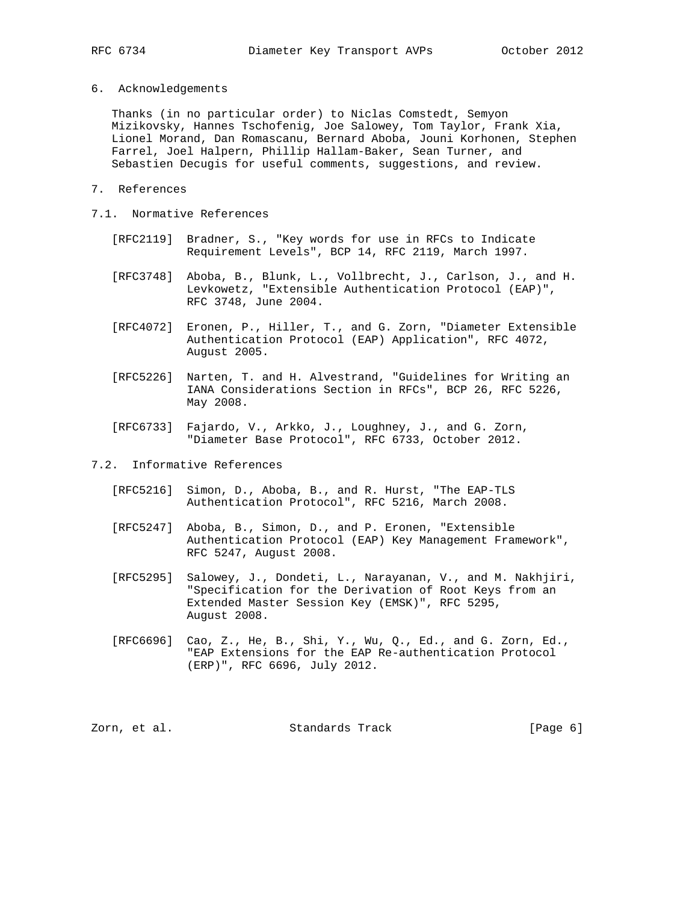6. Acknowledgements

 Thanks (in no particular order) to Niclas Comstedt, Semyon Mizikovsky, Hannes Tschofenig, Joe Salowey, Tom Taylor, Frank Xia, Lionel Morand, Dan Romascanu, Bernard Aboba, Jouni Korhonen, Stephen Farrel, Joel Halpern, Phillip Hallam-Baker, Sean Turner, and Sebastien Decugis for useful comments, suggestions, and review.

- 7. References
- 7.1. Normative References
	- [RFC2119] Bradner, S., "Key words for use in RFCs to Indicate Requirement Levels", BCP 14, RFC 2119, March 1997.
	- [RFC3748] Aboba, B., Blunk, L., Vollbrecht, J., Carlson, J., and H. Levkowetz, "Extensible Authentication Protocol (EAP)", RFC 3748, June 2004.
	- [RFC4072] Eronen, P., Hiller, T., and G. Zorn, "Diameter Extensible Authentication Protocol (EAP) Application", RFC 4072, August 2005.
	- [RFC5226] Narten, T. and H. Alvestrand, "Guidelines for Writing an IANA Considerations Section in RFCs", BCP 26, RFC 5226, May 2008.
	- [RFC6733] Fajardo, V., Arkko, J., Loughney, J., and G. Zorn, "Diameter Base Protocol", RFC 6733, October 2012.

7.2. Informative References

- [RFC5216] Simon, D., Aboba, B., and R. Hurst, "The EAP-TLS Authentication Protocol", RFC 5216, March 2008.
- [RFC5247] Aboba, B., Simon, D., and P. Eronen, "Extensible Authentication Protocol (EAP) Key Management Framework", RFC 5247, August 2008.
- [RFC5295] Salowey, J., Dondeti, L., Narayanan, V., and M. Nakhjiri, "Specification for the Derivation of Root Keys from an Extended Master Session Key (EMSK)", RFC 5295, August 2008.
- [RFC6696] Cao, Z., He, B., Shi, Y., Wu, Q., Ed., and G. Zorn, Ed., "EAP Extensions for the EAP Re-authentication Protocol (ERP)", RFC 6696, July 2012.

Zorn, et al. Standards Track [Page 6]